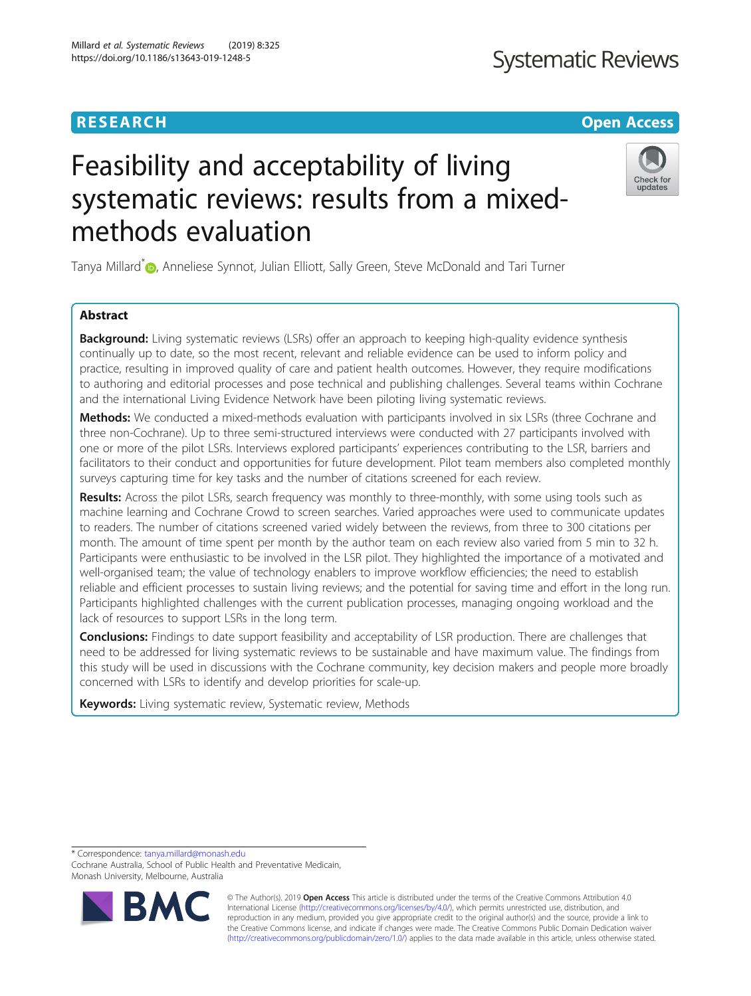# **RESEARCH CHE Open Access** Feasibility and acceptability of living systematic reviews: results from a mixed-

Tanya Millard<sup>\*</sup> [,](http://orcid.org/0000-0001-7135-3231) Anneliese Synnot, Julian Elliott, Sally Green, Steve McDonald and Tari Turner

# Abstract

**Background:** Living systematic reviews (LSRs) offer an approach to keeping high-quality evidence synthesis continually up to date, so the most recent, relevant and reliable evidence can be used to inform policy and practice, resulting in improved quality of care and patient health outcomes. However, they require modifications to authoring and editorial processes and pose technical and publishing challenges. Several teams within Cochrane and the international Living Evidence Network have been piloting living systematic reviews.

Methods: We conducted a mixed-methods evaluation with participants involved in six LSRs (three Cochrane and three non-Cochrane). Up to three semi-structured interviews were conducted with 27 participants involved with one or more of the pilot LSRs. Interviews explored participants' experiences contributing to the LSR, barriers and facilitators to their conduct and opportunities for future development. Pilot team members also completed monthly surveys capturing time for key tasks and the number of citations screened for each review.

Results: Across the pilot LSRs, search frequency was monthly to three-monthly, with some using tools such as machine learning and Cochrane Crowd to screen searches. Varied approaches were used to communicate updates to readers. The number of citations screened varied widely between the reviews, from three to 300 citations per month. The amount of time spent per month by the author team on each review also varied from 5 min to 32 h. Participants were enthusiastic to be involved in the LSR pilot. They highlighted the importance of a motivated and well-organised team; the value of technology enablers to improve workflow efficiencies; the need to establish reliable and efficient processes to sustain living reviews; and the potential for saving time and effort in the long run. Participants highlighted challenges with the current publication processes, managing ongoing workload and the lack of resources to support LSRs in the long term.

**Conclusions:** Findings to date support feasibility and acceptability of LSR production. There are challenges that need to be addressed for living systematic reviews to be sustainable and have maximum value. The findings from this study will be used in discussions with the Cochrane community, key decision makers and people more broadly concerned with LSRs to identify and develop priorities for scale-up.

Keywords: Living systematic review, Systematic review, Methods

\* Correspondence: [tanya.millard@monash.edu](mailto:tanya.millard@monash.edu)

Cochrane Australia, School of Public Health and Preventative Medicain, Monash University, Melbourne, Australia





methods evaluation



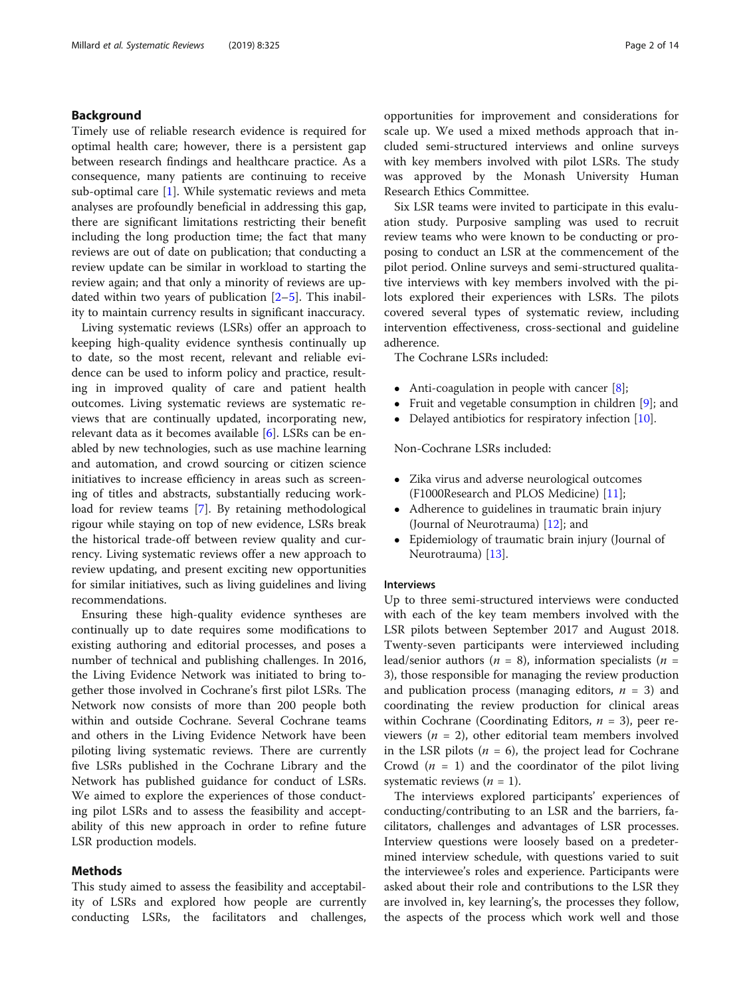# Background

Timely use of reliable research evidence is required for optimal health care; however, there is a persistent gap between research findings and healthcare practice. As a consequence, many patients are continuing to receive sub-optimal care [\[1\]](#page-13-0). While systematic reviews and meta analyses are profoundly beneficial in addressing this gap, there are significant limitations restricting their benefit including the long production time; the fact that many reviews are out of date on publication; that conducting a review update can be similar in workload to starting the review again; and that only a minority of reviews are updated within two years of publication  $[2-5]$  $[2-5]$  $[2-5]$  $[2-5]$ . This inability to maintain currency results in significant inaccuracy.

Living systematic reviews (LSRs) offer an approach to keeping high-quality evidence synthesis continually up to date, so the most recent, relevant and reliable evidence can be used to inform policy and practice, resulting in improved quality of care and patient health outcomes. Living systematic reviews are systematic reviews that are continually updated, incorporating new, relevant data as it becomes available [\[6](#page-13-0)]. LSRs can be enabled by new technologies, such as use machine learning and automation, and crowd sourcing or citizen science initiatives to increase efficiency in areas such as screening of titles and abstracts, substantially reducing workload for review teams [\[7](#page-13-0)]. By retaining methodological rigour while staying on top of new evidence, LSRs break the historical trade-off between review quality and currency. Living systematic reviews offer a new approach to review updating, and present exciting new opportunities for similar initiatives, such as living guidelines and living recommendations.

Ensuring these high-quality evidence syntheses are continually up to date requires some modifications to existing authoring and editorial processes, and poses a number of technical and publishing challenges. In 2016, the Living Evidence Network was initiated to bring together those involved in Cochrane's first pilot LSRs. The Network now consists of more than 200 people both within and outside Cochrane. Several Cochrane teams and others in the Living Evidence Network have been piloting living systematic reviews. There are currently five LSRs published in the Cochrane Library and the Network has published guidance for conduct of LSRs. We aimed to explore the experiences of those conducting pilot LSRs and to assess the feasibility and acceptability of this new approach in order to refine future LSR production models.

# Methods

This study aimed to assess the feasibility and acceptability of LSRs and explored how people are currently conducting LSRs, the facilitators and challenges, opportunities for improvement and considerations for scale up. We used a mixed methods approach that included semi-structured interviews and online surveys with key members involved with pilot LSRs. The study was approved by the Monash University Human Research Ethics Committee.

Six LSR teams were invited to participate in this evaluation study. Purposive sampling was used to recruit review teams who were known to be conducting or proposing to conduct an LSR at the commencement of the pilot period. Online surveys and semi-structured qualitative interviews with key members involved with the pilots explored their experiences with LSRs. The pilots covered several types of systematic review, including intervention effectiveness, cross-sectional and guideline adherence.

The Cochrane LSRs included:

- Anti-coagulation in people with cancer  $[8]$  $[8]$ ;
- Fruit and vegetable consumption in children [\[9](#page-13-0)]; and
- Delayed antibiotics for respiratory infection [[10\]](#page-13-0).

#### Non-Cochrane LSRs included:

- Zika virus and adverse neurological outcomes (F1000Research and PLOS Medicine) [\[11](#page-13-0)];
- Adherence to guidelines in traumatic brain injury (Journal of Neurotrauma) [\[12\]](#page-13-0); and
- Epidemiology of traumatic brain injury (Journal of Neurotrauma) [\[13](#page-13-0)].

## Interviews

Up to three semi-structured interviews were conducted with each of the key team members involved with the LSR pilots between September 2017 and August 2018. Twenty-seven participants were interviewed including lead/senior authors ( $n = 8$ ), information specialists ( $n =$ 3), those responsible for managing the review production and publication process (managing editors,  $n = 3$ ) and coordinating the review production for clinical areas within Cochrane (Coordinating Editors,  $n = 3$ ), peer reviewers ( $n = 2$ ), other editorial team members involved in the LSR pilots ( $n = 6$ ), the project lead for Cochrane Crowd  $(n = 1)$  and the coordinator of the pilot living systematic reviews  $(n = 1)$ .

The interviews explored participants' experiences of conducting/contributing to an LSR and the barriers, facilitators, challenges and advantages of LSR processes. Interview questions were loosely based on a predetermined interview schedule, with questions varied to suit the interviewee's roles and experience. Participants were asked about their role and contributions to the LSR they are involved in, key learning's, the processes they follow, the aspects of the process which work well and those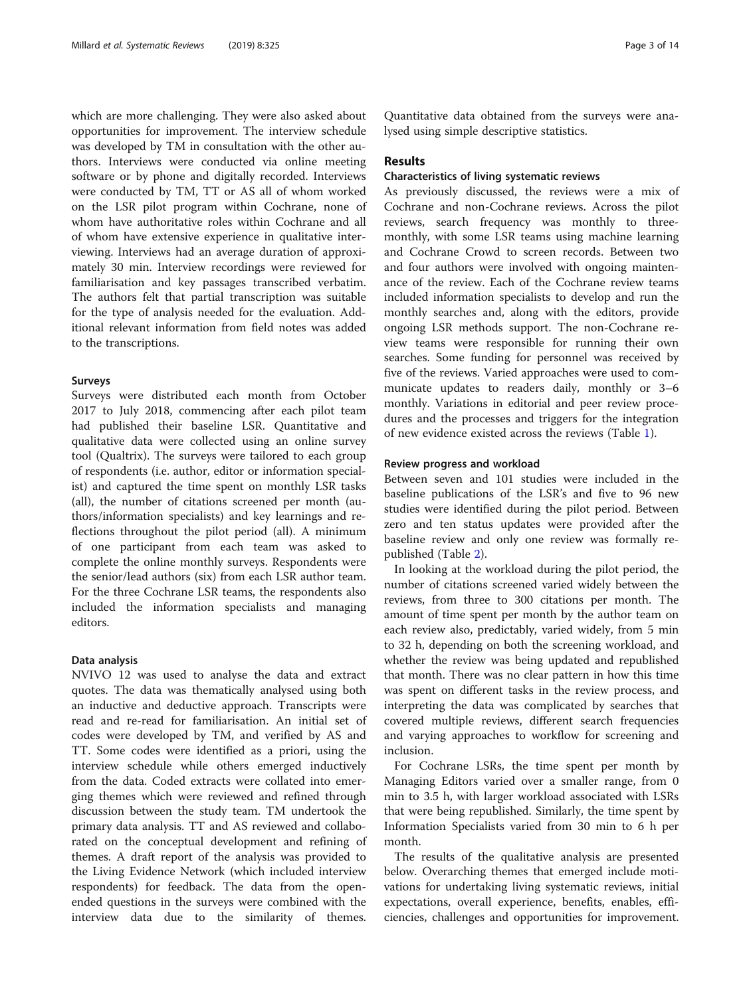which are more challenging. They were also asked about opportunities for improvement. The interview schedule was developed by TM in consultation with the other authors. Interviews were conducted via online meeting software or by phone and digitally recorded. Interviews were conducted by TM, TT or AS all of whom worked on the LSR pilot program within Cochrane, none of whom have authoritative roles within Cochrane and all of whom have extensive experience in qualitative interviewing. Interviews had an average duration of approximately 30 min. Interview recordings were reviewed for familiarisation and key passages transcribed verbatim. The authors felt that partial transcription was suitable for the type of analysis needed for the evaluation. Additional relevant information from field notes was added to the transcriptions.

#### Surveys

Surveys were distributed each month from October 2017 to July 2018, commencing after each pilot team had published their baseline LSR. Quantitative and qualitative data were collected using an online survey tool (Qualtrix). The surveys were tailored to each group of respondents (i.e. author, editor or information specialist) and captured the time spent on monthly LSR tasks (all), the number of citations screened per month (authors/information specialists) and key learnings and reflections throughout the pilot period (all). A minimum of one participant from each team was asked to complete the online monthly surveys. Respondents were the senior/lead authors (six) from each LSR author team. For the three Cochrane LSR teams, the respondents also included the information specialists and managing editors.

# Data analysis

NVIVO 12 was used to analyse the data and extract quotes. The data was thematically analysed using both an inductive and deductive approach. Transcripts were read and re-read for familiarisation. An initial set of codes were developed by TM, and verified by AS and TT. Some codes were identified as a priori, using the interview schedule while others emerged inductively from the data. Coded extracts were collated into emerging themes which were reviewed and refined through discussion between the study team. TM undertook the primary data analysis. TT and AS reviewed and collaborated on the conceptual development and refining of themes. A draft report of the analysis was provided to the Living Evidence Network (which included interview respondents) for feedback. The data from the openended questions in the surveys were combined with the interview data due to the similarity of themes.

Quantitative data obtained from the surveys were analysed using simple descriptive statistics.

# Results

# Characteristics of living systematic reviews

As previously discussed, the reviews were a mix of Cochrane and non-Cochrane reviews. Across the pilot reviews, search frequency was monthly to threemonthly, with some LSR teams using machine learning and Cochrane Crowd to screen records. Between two and four authors were involved with ongoing maintenance of the review. Each of the Cochrane review teams included information specialists to develop and run the monthly searches and, along with the editors, provide ongoing LSR methods support. The non-Cochrane review teams were responsible for running their own searches. Some funding for personnel was received by five of the reviews. Varied approaches were used to communicate updates to readers daily, monthly or 3–6 monthly. Variations in editorial and peer review procedures and the processes and triggers for the integration of new evidence existed across the reviews (Table [1\)](#page-3-0).

# Review progress and workload

Between seven and 101 studies were included in the baseline publications of the LSR's and five to 96 new studies were identified during the pilot period. Between zero and ten status updates were provided after the baseline review and only one review was formally republished (Table [2](#page-4-0)).

In looking at the workload during the pilot period, the number of citations screened varied widely between the reviews, from three to 300 citations per month. The amount of time spent per month by the author team on each review also, predictably, varied widely, from 5 min to 32 h, depending on both the screening workload, and whether the review was being updated and republished that month. There was no clear pattern in how this time was spent on different tasks in the review process, and interpreting the data was complicated by searches that covered multiple reviews, different search frequencies and varying approaches to workflow for screening and inclusion.

For Cochrane LSRs, the time spent per month by Managing Editors varied over a smaller range, from 0 min to 3.5 h, with larger workload associated with LSRs that were being republished. Similarly, the time spent by Information Specialists varied from 30 min to 6 h per month.

The results of the qualitative analysis are presented below. Overarching themes that emerged include motivations for undertaking living systematic reviews, initial expectations, overall experience, benefits, enables, efficiencies, challenges and opportunities for improvement.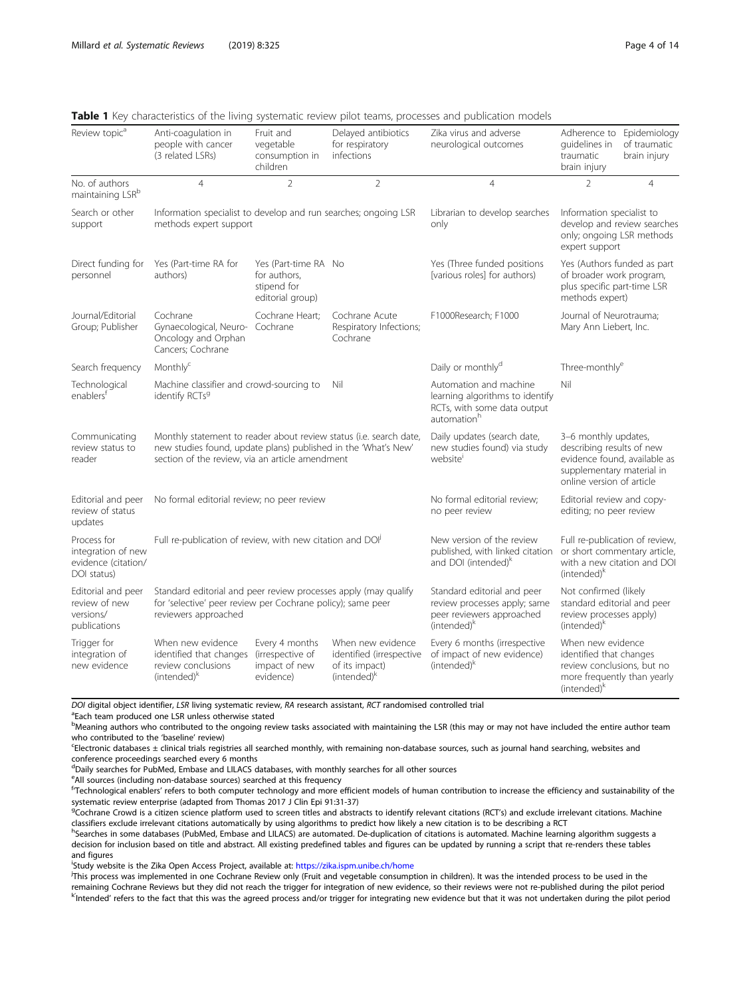| Review topic <sup>a</sup>                                               | Anti-coagulation in<br>people with cancer<br>(3 related LSRs)                                                                                                                           | Fruit and<br>vegetable<br>consumption in<br>children                    | Delayed antibiotics<br>for respiratory<br>infections                                | Zika virus and adverse<br>neurological outcomes                                                                     | Adherence to<br>quidelines in<br>traumatic<br>brain injury                                                                                  | Epidemiology<br>of traumatic<br>brain injury |
|-------------------------------------------------------------------------|-----------------------------------------------------------------------------------------------------------------------------------------------------------------------------------------|-------------------------------------------------------------------------|-------------------------------------------------------------------------------------|---------------------------------------------------------------------------------------------------------------------|---------------------------------------------------------------------------------------------------------------------------------------------|----------------------------------------------|
| No. of authors<br>maintaining LSR <sup>b</sup>                          | $\overline{4}$                                                                                                                                                                          | $\overline{2}$                                                          | $\overline{2}$                                                                      | $\overline{4}$                                                                                                      | $\overline{2}$                                                                                                                              | $\overline{4}$                               |
| Search or other<br>support                                              | Information specialist to develop and run searches; ongoing LSR<br>methods expert support                                                                                               |                                                                         |                                                                                     | Librarian to develop searches<br>only                                                                               | Information specialist to<br>develop and review searches<br>only; ongoing LSR methods<br>expert support                                     |                                              |
| Direct funding for<br>personnel                                         | Yes (Part-time RA for<br>authors)                                                                                                                                                       | Yes (Part-time RA No<br>for authors.<br>stipend for<br>editorial group) |                                                                                     | Yes (Three funded positions<br>[various roles] for authors)                                                         | Yes (Authors funded as part<br>of broader work program,<br>plus specific part-time LSR<br>methods expert)                                   |                                              |
| Journal/Editorial<br>Group; Publisher                                   | Cochrane<br>Gynaecological, Neuro-<br>Oncology and Orphan<br>Cancers: Cochrane                                                                                                          | Cochrane Heart:<br>Cochrane                                             | Cochrane Acute<br>Respiratory Infections;<br>Cochrane                               | F1000Research; F1000                                                                                                | Journal of Neurotrauma;<br>Mary Ann Liebert, Inc.                                                                                           |                                              |
| Search frequency                                                        | Monthly <sup>c</sup>                                                                                                                                                                    |                                                                         |                                                                                     | Daily or monthly <sup>d</sup>                                                                                       | Three-monthly <sup>e</sup>                                                                                                                  |                                              |
| Technological<br>enablers <sup>f</sup>                                  | Machine classifier and crowd-sourcing to<br>identify RCTs <sup>g</sup>                                                                                                                  |                                                                         | Nil                                                                                 | Automation and machine<br>learning algorithms to identify<br>RCTs, with some data output<br>automation <sup>h</sup> | Nil                                                                                                                                         |                                              |
| Communicating<br>review status to<br>reader                             | Monthly statement to reader about review status (i.e. search date,<br>new studies found, update plans) published in the 'What's New'<br>section of the review, via an article amendment |                                                                         |                                                                                     | Daily updates (search date,<br>new studies found) via study<br>website <sup>'</sup>                                 | 3-6 monthly updates,<br>describing results of new<br>evidence found, available as<br>supplementary material in<br>online version of article |                                              |
| Editorial and peer<br>review of status<br>updates                       | No formal editorial review; no peer review                                                                                                                                              |                                                                         |                                                                                     | No formal editorial review;<br>no peer review                                                                       | Editorial review and copy-<br>editing; no peer review                                                                                       |                                              |
| Process for<br>integration of new<br>evidence (citation/<br>DOI status) | Full re-publication of review, with new citation and DOI <sup>j</sup>                                                                                                                   |                                                                         |                                                                                     | New version of the review<br>published, with linked citation<br>and DOI (intended) <sup>k</sup>                     | Full re-publication of review,<br>or short commentary article,<br>with a new citation and DOI<br>(intended) <sup>k</sup>                    |                                              |
| Editorial and peer<br>review of new<br>versions/<br>publications        | Standard editorial and peer review processes apply (may qualify<br>for 'selective' peer review per Cochrane policy); same peer<br>reviewers approached                                  |                                                                         |                                                                                     | Standard editorial and peer<br>review processes apply; same<br>peer reviewers approached<br>(intended) <sup>k</sup> | Not confirmed (likely<br>standard editorial and peer<br>review processes apply)<br>(intended) <sup>k</sup>                                  |                                              |
| Trigger for<br>integration of<br>new evidence                           | When new evidence<br>identified that changes<br>review conclusions<br>$(intended)^k$                                                                                                    | Every 4 months<br>(irrespective of<br>impact of new<br>evidence)        | When new evidence<br>identified (irrespective<br>of its impact)<br>$(intended)^{k}$ | Every 6 months (irrespective<br>of impact of new evidence)<br>(intended) <sup>k</sup>                               | When new evidence<br>identified that changes<br>review conclusions, but no<br>more frequently than yearly<br>(intended) <sup>k</sup>        |                                              |

<span id="page-3-0"></span>

| Table 1 Key characteristics of the living systematic review pilot teams, processes and publication models |  |  |  |
|-----------------------------------------------------------------------------------------------------------|--|--|--|
|-----------------------------------------------------------------------------------------------------------|--|--|--|

DOI digital object identifier, LSR living systematic review, RA research assistant, RCT randomised controlled trial

<sup>a</sup> Each team produced one LSR unless otherwise stated

b<br>Meaning authors who contributed to the ongoing review tasks associated with maintaining the LSR (this may or may not have included the entire author team who contributed to the 'baseline' review)

Electronic databases ± clinical trials registries all searched monthly, with remaining non-database sources, such as journal hand searching, websites and conference proceedings searched every 6 months

<sup>d</sup>Daily searches for PubMed, Embase and LILACS databases, with monthly searches for all other sources

e All sources (including non-database sources) searched at this frequency

f 'Technological enablers' refers to both computer technology and more efficient models of human contribution to increase the efficiency and sustainability of the systematic review enterprise (adapted from Thomas 2017 J Clin Epi 91:31-37)

<sup>g</sup>Cochrane Crowd is a citizen science platform used to screen titles and abstracts to identify relevant citations (RCT's) and exclude irrelevant citations. Machine classifiers exclude irrelevant citations automatically by using algorithms to predict how likely a new citation is to be describing a RCT

<sup>h</sup>Searches in some databases (PubMed, Embase and LILACS) are automated. De-duplication of citations is automated. Machine learning algorithm suggests a decision for inclusion based on title and abstract. All existing predefined tables and figures can be updated by running a script that re-renders these tables and figures

i<br>Study website is the Zika Open Access Project, available at: <https://zika.ispm.unibe.ch/home><br>This process was implemented in one Cochrane Beview only (Eruit and vegetable consump

This process was implemented in one Cochrane Review only (Fruit and vegetable consumption in children). It was the intended process to be used in the remaining Cochrane Reviews but they did not reach the trigger for integration of new evidence, so their reviews were not re-published during the pilot period <sup>k</sup>' KIntended' refers to the fact that this was the agreed process and/or trigger for integrating new evidence but that it was not undertaken during the pilot period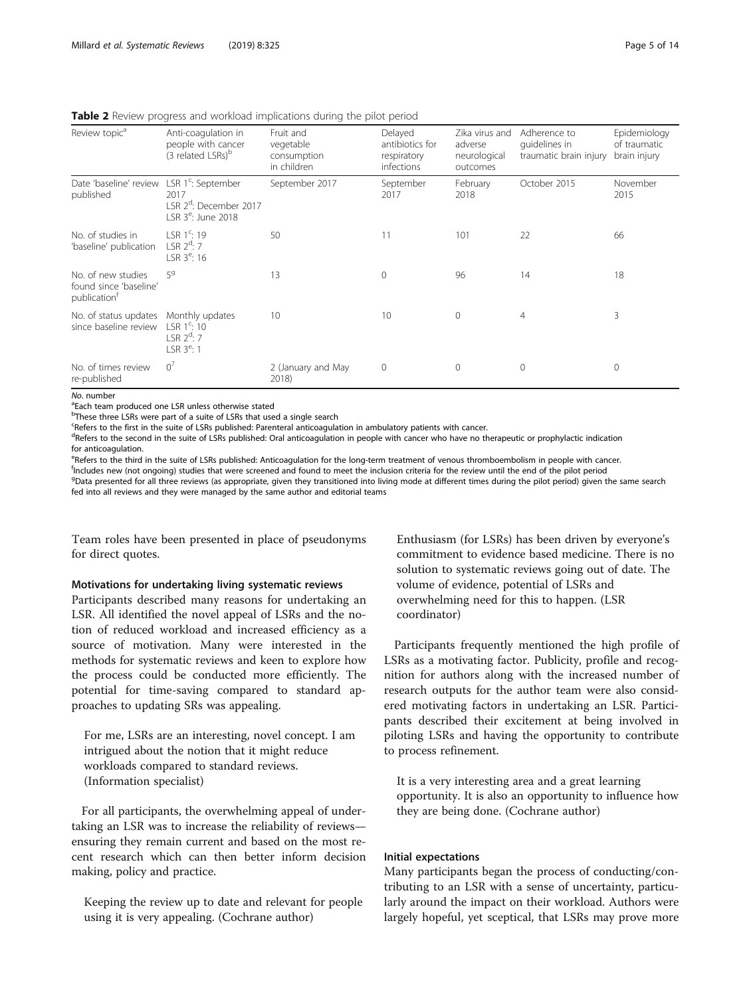| Review topic <sup>a</sup>                                                | Anti-coagulation in<br>people with cancer<br>(3 related LSRs) <sup>b</sup> | Fruit and<br>vegetable<br>consumption<br>in children | Delayed<br>antibiotics for<br>respiratory<br>infections | Zika virus and<br>adverse<br>neurological<br>outcomes | Adherence to<br>quidelines in<br>traumatic brain injury | Epidemiology<br>of traumatic<br>brain injury |
|--------------------------------------------------------------------------|----------------------------------------------------------------------------|------------------------------------------------------|---------------------------------------------------------|-------------------------------------------------------|---------------------------------------------------------|----------------------------------------------|
| Date 'baseline' review LSR 1 <sup>c</sup> : September<br>published       | 2017<br>LSR 2 <sup>d</sup> : December 2017<br>LSR $3^e$ : June 2018        | September 2017                                       | September<br>2017                                       | February<br>2018                                      | October 2015                                            | November<br>2015                             |
| No. of studies in<br>'baseline' publication                              | LSR 1 <sup>c</sup> : 19<br>LSR $2^d$ : 7<br>LSR $3^e$ : 16                 | 50                                                   | 11                                                      | 101                                                   | 22                                                      | 66                                           |
| No. of new studies<br>found since 'baseline'<br>publication <sup>t</sup> | 59                                                                         | 13                                                   | $\mathbf{0}$                                            | 96                                                    | 14                                                      | 18                                           |
| No. of status updates<br>since baseline review                           | Monthly updates<br>LSR $1^{\circ}$ : 10<br>LSR $2^d$ : 7<br>LSR $3^e$ : 1  | 10                                                   | 10                                                      | 0                                                     | $\overline{4}$                                          | 3                                            |
| No. of times review<br>re-published                                      | 0 <sup>7</sup>                                                             | 2 (January and May<br>2018)                          | $\mathbf{0}$                                            | 0                                                     | $\mathbf{0}$                                            | $\mathbf{0}$                                 |

<span id="page-4-0"></span>Table 2 Review progress and workload implications during the pilot period

No. number

<sup>a</sup>Each team produced one LSR unless otherwise stated

<sup>b</sup>These three LSRs were part of a suite of LSRs that used a single search

<sup>c</sup>Refers to the first in the suite of LSRs published: Parenteral anticoagulation in ambulatory patients with cancer.

d<br>Refers to the second in the suite of LSRs published: Oral anticoagulation in people with cancer who have no therapeutic or prophylactic indication for anticoagulation.

eRefers to the third in the suite of LSRs published: Anticoagulation for the long-term treatment of venous thromboembolism in people with cancer.

f<br>Includes new (not ongoing) studies that were screened and found to meet the inclusion criteria for the review until the end of the pilot period

<sup>9</sup>Data presented for all three reviews (as appropriate, given they transitioned into living mode at different times during the pilot period) given the same search fed into all reviews and they were managed by the same author and editorial teams

Team roles have been presented in place of pseudonyms for direct quotes.

# Motivations for undertaking living systematic reviews

Participants described many reasons for undertaking an LSR. All identified the novel appeal of LSRs and the notion of reduced workload and increased efficiency as a source of motivation. Many were interested in the methods for systematic reviews and keen to explore how the process could be conducted more efficiently. The potential for time-saving compared to standard approaches to updating SRs was appealing.

For me, LSRs are an interesting, novel concept. I am intrigued about the notion that it might reduce workloads compared to standard reviews. (Information specialist)

For all participants, the overwhelming appeal of undertaking an LSR was to increase the reliability of reviews ensuring they remain current and based on the most recent research which can then better inform decision making, policy and practice.

Keeping the review up to date and relevant for people using it is very appealing. (Cochrane author)

Enthusiasm (for LSRs) has been driven by everyone's commitment to evidence based medicine. There is no solution to systematic reviews going out of date. The volume of evidence, potential of LSRs and overwhelming need for this to happen. (LSR coordinator)

Participants frequently mentioned the high profile of LSRs as a motivating factor. Publicity, profile and recognition for authors along with the increased number of research outputs for the author team were also considered motivating factors in undertaking an LSR. Participants described their excitement at being involved in piloting LSRs and having the opportunity to contribute to process refinement.

It is a very interesting area and a great learning opportunity. It is also an opportunity to influence how they are being done. (Cochrane author)

# Initial expectations

Many participants began the process of conducting/contributing to an LSR with a sense of uncertainty, particularly around the impact on their workload. Authors were largely hopeful, yet sceptical, that LSRs may prove more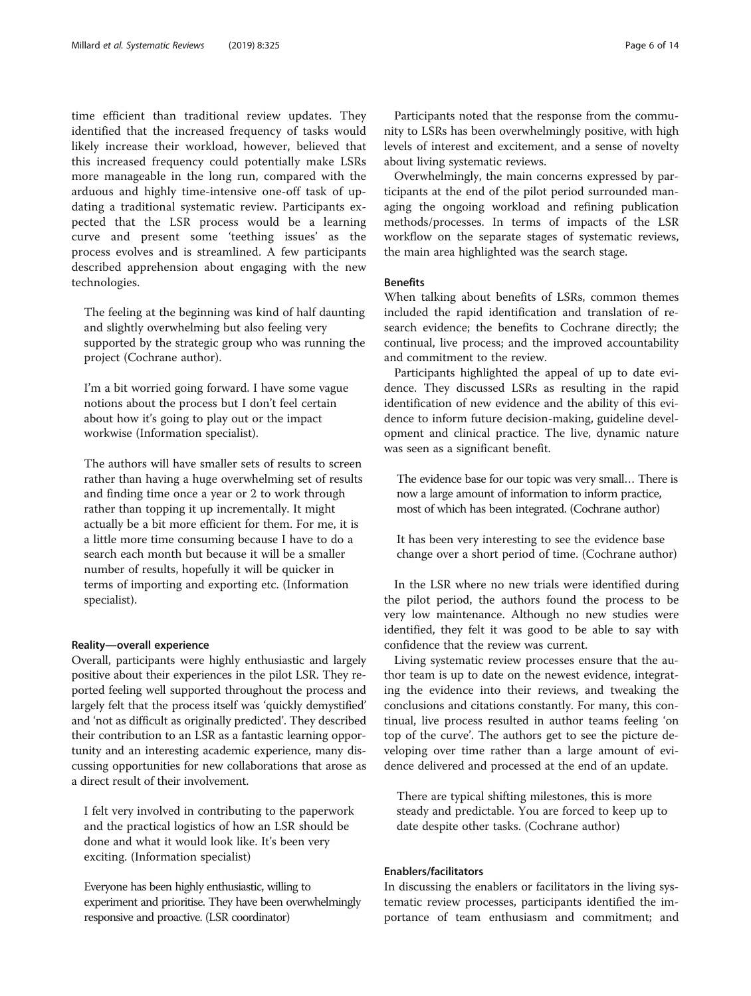time efficient than traditional review updates. They identified that the increased frequency of tasks would likely increase their workload, however, believed that this increased frequency could potentially make LSRs more manageable in the long run, compared with the arduous and highly time-intensive one-off task of updating a traditional systematic review. Participants expected that the LSR process would be a learning curve and present some 'teething issues' as the process evolves and is streamlined. A few participants described apprehension about engaging with the new technologies.

The feeling at the beginning was kind of half daunting and slightly overwhelming but also feeling very supported by the strategic group who was running the project (Cochrane author).

I'm a bit worried going forward. I have some vague notions about the process but I don't feel certain about how it's going to play out or the impact workwise (Information specialist).

The authors will have smaller sets of results to screen rather than having a huge overwhelming set of results and finding time once a year or 2 to work through rather than topping it up incrementally. It might actually be a bit more efficient for them. For me, it is a little more time consuming because I have to do a search each month but because it will be a smaller number of results, hopefully it will be quicker in terms of importing and exporting etc. (Information specialist).

# Reality—overall experience

Overall, participants were highly enthusiastic and largely positive about their experiences in the pilot LSR. They reported feeling well supported throughout the process and largely felt that the process itself was 'quickly demystified' and 'not as difficult as originally predicted'. They described their contribution to an LSR as a fantastic learning opportunity and an interesting academic experience, many discussing opportunities for new collaborations that arose as a direct result of their involvement.

I felt very involved in contributing to the paperwork and the practical logistics of how an LSR should be done and what it would look like. It's been very exciting. (Information specialist)

Everyone has been highly enthusiastic, willing to experiment and prioritise. They have been overwhelmingly responsive and proactive. (LSR coordinator)

Participants noted that the response from the community to LSRs has been overwhelmingly positive, with high levels of interest and excitement, and a sense of novelty about living systematic reviews.

Overwhelmingly, the main concerns expressed by participants at the end of the pilot period surrounded managing the ongoing workload and refining publication methods/processes. In terms of impacts of the LSR workflow on the separate stages of systematic reviews, the main area highlighted was the search stage.

# Benefits

When talking about benefits of LSRs, common themes included the rapid identification and translation of research evidence; the benefits to Cochrane directly; the continual, live process; and the improved accountability and commitment to the review.

Participants highlighted the appeal of up to date evidence. They discussed LSRs as resulting in the rapid identification of new evidence and the ability of this evidence to inform future decision-making, guideline development and clinical practice. The live, dynamic nature was seen as a significant benefit.

The evidence base for our topic was very small… There is now a large amount of information to inform practice, most of which has been integrated. (Cochrane author)

It has been very interesting to see the evidence base change over a short period of time. (Cochrane author)

In the LSR where no new trials were identified during the pilot period, the authors found the process to be very low maintenance. Although no new studies were identified, they felt it was good to be able to say with confidence that the review was current.

Living systematic review processes ensure that the author team is up to date on the newest evidence, integrating the evidence into their reviews, and tweaking the conclusions and citations constantly. For many, this continual, live process resulted in author teams feeling 'on top of the curve'. The authors get to see the picture developing over time rather than a large amount of evidence delivered and processed at the end of an update.

There are typical shifting milestones, this is more steady and predictable. You are forced to keep up to date despite other tasks. (Cochrane author)

# Enablers/facilitators

In discussing the enablers or facilitators in the living systematic review processes, participants identified the importance of team enthusiasm and commitment; and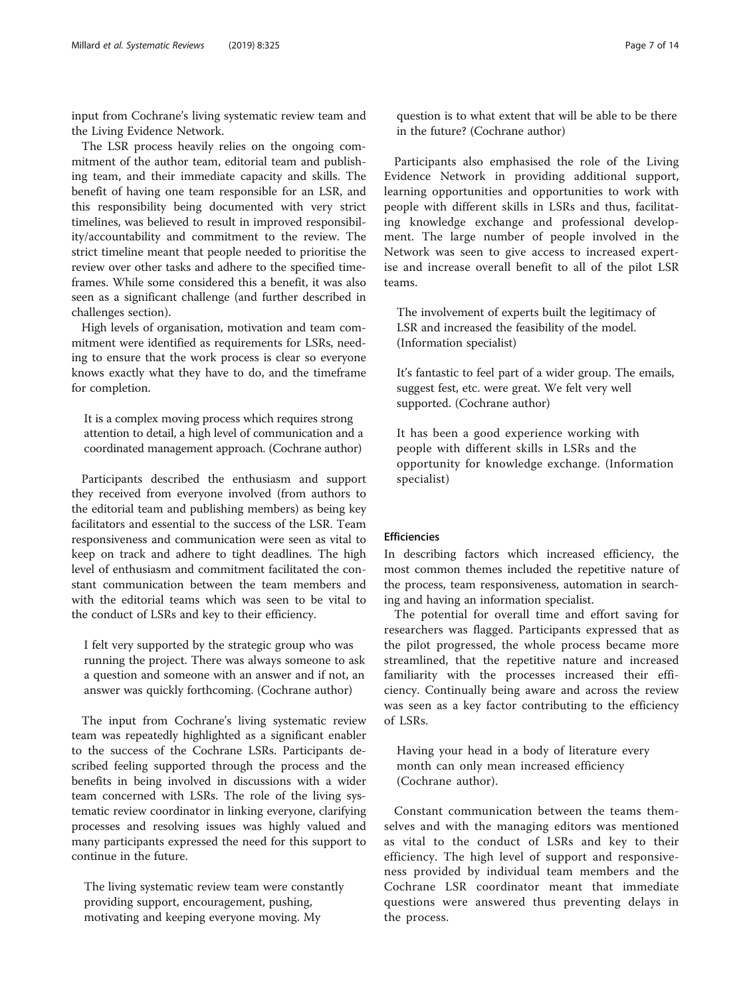input from Cochrane's living systematic review team and the Living Evidence Network.

The LSR process heavily relies on the ongoing commitment of the author team, editorial team and publishing team, and their immediate capacity and skills. The benefit of having one team responsible for an LSR, and this responsibility being documented with very strict timelines, was believed to result in improved responsibility/accountability and commitment to the review. The strict timeline meant that people needed to prioritise the review over other tasks and adhere to the specified timeframes. While some considered this a benefit, it was also seen as a significant challenge (and further described in challenges section).

High levels of organisation, motivation and team commitment were identified as requirements for LSRs, needing to ensure that the work process is clear so everyone knows exactly what they have to do, and the timeframe for completion.

It is a complex moving process which requires strong attention to detail, a high level of communication and a coordinated management approach. (Cochrane author)

Participants described the enthusiasm and support they received from everyone involved (from authors to the editorial team and publishing members) as being key facilitators and essential to the success of the LSR. Team responsiveness and communication were seen as vital to keep on track and adhere to tight deadlines. The high level of enthusiasm and commitment facilitated the constant communication between the team members and with the editorial teams which was seen to be vital to the conduct of LSRs and key to their efficiency.

I felt very supported by the strategic group who was running the project. There was always someone to ask a question and someone with an answer and if not, an answer was quickly forthcoming. (Cochrane author)

The input from Cochrane's living systematic review team was repeatedly highlighted as a significant enabler to the success of the Cochrane LSRs. Participants described feeling supported through the process and the benefits in being involved in discussions with a wider team concerned with LSRs. The role of the living systematic review coordinator in linking everyone, clarifying processes and resolving issues was highly valued and many participants expressed the need for this support to continue in the future.

The living systematic review team were constantly providing support, encouragement, pushing, motivating and keeping everyone moving. My

question is to what extent that will be able to be there in the future? (Cochrane author)

Participants also emphasised the role of the Living Evidence Network in providing additional support, learning opportunities and opportunities to work with people with different skills in LSRs and thus, facilitating knowledge exchange and professional development. The large number of people involved in the Network was seen to give access to increased expertise and increase overall benefit to all of the pilot LSR teams.

The involvement of experts built the legitimacy of LSR and increased the feasibility of the model. (Information specialist)

It's fantastic to feel part of a wider group. The emails, suggest fest, etc. were great. We felt very well supported. (Cochrane author)

It has been a good experience working with people with different skills in LSRs and the opportunity for knowledge exchange. (Information specialist)

# **Efficiencies**

In describing factors which increased efficiency, the most common themes included the repetitive nature of the process, team responsiveness, automation in searching and having an information specialist.

The potential for overall time and effort saving for researchers was flagged. Participants expressed that as the pilot progressed, the whole process became more streamlined, that the repetitive nature and increased familiarity with the processes increased their efficiency. Continually being aware and across the review was seen as a key factor contributing to the efficiency of LSRs.

Having your head in a body of literature every month can only mean increased efficiency (Cochrane author).

Constant communication between the teams themselves and with the managing editors was mentioned as vital to the conduct of LSRs and key to their efficiency. The high level of support and responsiveness provided by individual team members and the Cochrane LSR coordinator meant that immediate questions were answered thus preventing delays in the process.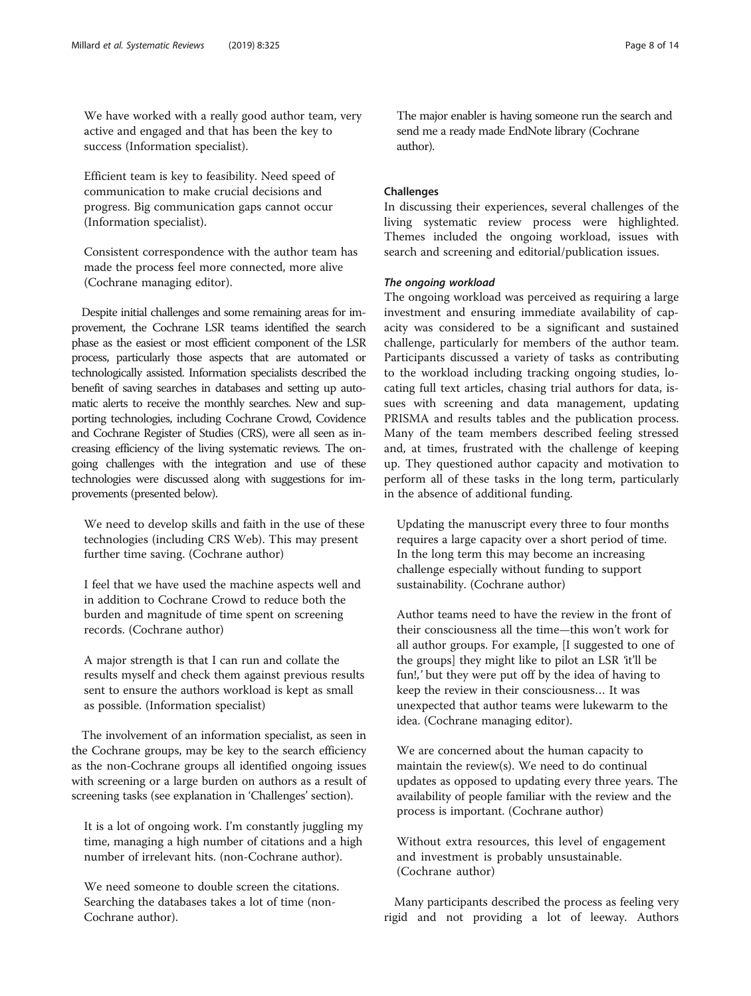We have worked with a really good author team, very active and engaged and that has been the key to success (Information specialist).

Efficient team is key to feasibility. Need speed of communication to make crucial decisions and progress. Big communication gaps cannot occur (Information specialist).

Consistent correspondence with the author team has made the process feel more connected, more alive (Cochrane managing editor).

Despite initial challenges and some remaining areas for improvement, the Cochrane LSR teams identified the search phase as the easiest or most efficient component of the LSR process, particularly those aspects that are automated or technologically assisted. Information specialists described the benefit of saving searches in databases and setting up automatic alerts to receive the monthly searches. New and supporting technologies, including Cochrane Crowd, Covidence and Cochrane Register of Studies (CRS), were all seen as increasing efficiency of the living systematic reviews. The ongoing challenges with the integration and use of these technologies were discussed along with suggestions for improvements (presented below).

We need to develop skills and faith in the use of these technologies (including CRS Web). This may present further time saving. (Cochrane author)

I feel that we have used the machine aspects well and in addition to Cochrane Crowd to reduce both the burden and magnitude of time spent on screening records. (Cochrane author)

A major strength is that I can run and collate the results myself and check them against previous results sent to ensure the authors workload is kept as small as possible. (Information specialist)

The involvement of an information specialist, as seen in the Cochrane groups, may be key to the search efficiency as the non-Cochrane groups all identified ongoing issues with screening or a large burden on authors as a result of screening tasks (see explanation in 'Challenges' section).

It is a lot of ongoing work. I'm constantly juggling my time, managing a high number of citations and a high number of irrelevant hits. (non-Cochrane author).

We need someone to double screen the citations. Searching the databases takes a lot of time (non-Cochrane author).

The major enabler is having someone run the search and send me a ready made EndNote library (Cochrane author).

# Challenges

In discussing their experiences, several challenges of the living systematic review process were highlighted. Themes included the ongoing workload, issues with search and screening and editorial/publication issues.

# The ongoing workload

The ongoing workload was perceived as requiring a large investment and ensuring immediate availability of capacity was considered to be a significant and sustained challenge, particularly for members of the author team. Participants discussed a variety of tasks as contributing to the workload including tracking ongoing studies, locating full text articles, chasing trial authors for data, issues with screening and data management, updating PRISMA and results tables and the publication process. Many of the team members described feeling stressed and, at times, frustrated with the challenge of keeping up. They questioned author capacity and motivation to perform all of these tasks in the long term, particularly in the absence of additional funding.

Updating the manuscript every three to four months requires a large capacity over a short period of time. In the long term this may become an increasing challenge especially without funding to support sustainability. (Cochrane author)

Author teams need to have the review in the front of their consciousness all the time—this won't work for all author groups. For example, [I suggested to one of the groups] they might like to pilot an LSR 'it'll be fun!,' but they were put off by the idea of having to keep the review in their consciousness… It was unexpected that author teams were lukewarm to the idea. (Cochrane managing editor).

We are concerned about the human capacity to maintain the review(s). We need to do continual updates as opposed to updating every three years. The availability of people familiar with the review and the process is important. (Cochrane author)

Without extra resources, this level of engagement and investment is probably unsustainable. (Cochrane author)

Many participants described the process as feeling very rigid and not providing a lot of leeway. Authors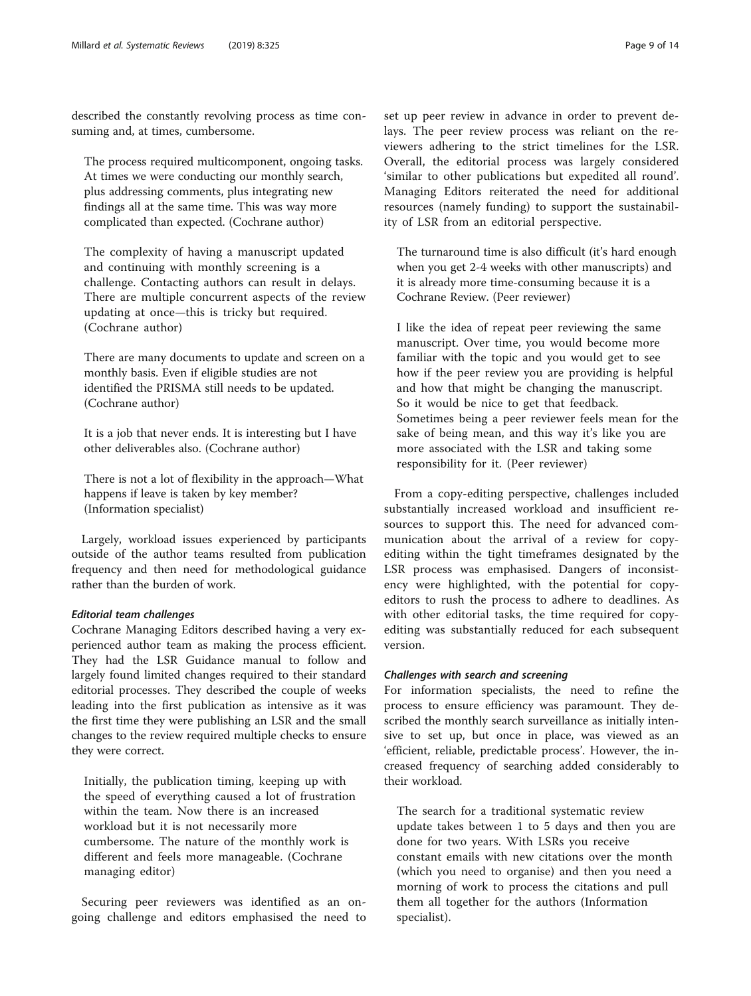described the constantly revolving process as time consuming and, at times, cumbersome.

The process required multicomponent, ongoing tasks. At times we were conducting our monthly search, plus addressing comments, plus integrating new findings all at the same time. This was way more complicated than expected. (Cochrane author)

The complexity of having a manuscript updated and continuing with monthly screening is a challenge. Contacting authors can result in delays. There are multiple concurrent aspects of the review updating at once—this is tricky but required. (Cochrane author)

There are many documents to update and screen on a monthly basis. Even if eligible studies are not identified the PRISMA still needs to be updated. (Cochrane author)

It is a job that never ends. It is interesting but I have other deliverables also. (Cochrane author)

There is not a lot of flexibility in the approach—What happens if leave is taken by key member? (Information specialist)

Largely, workload issues experienced by participants outside of the author teams resulted from publication frequency and then need for methodological guidance rather than the burden of work.

## Editorial team challenges

Cochrane Managing Editors described having a very experienced author team as making the process efficient. They had the LSR Guidance manual to follow and largely found limited changes required to their standard editorial processes. They described the couple of weeks leading into the first publication as intensive as it was the first time they were publishing an LSR and the small changes to the review required multiple checks to ensure they were correct.

Initially, the publication timing, keeping up with the speed of everything caused a lot of frustration within the team. Now there is an increased workload but it is not necessarily more cumbersome. The nature of the monthly work is different and feels more manageable. (Cochrane managing editor)

Securing peer reviewers was identified as an ongoing challenge and editors emphasised the need to set up peer review in advance in order to prevent delays. The peer review process was reliant on the reviewers adhering to the strict timelines for the LSR. Overall, the editorial process was largely considered 'similar to other publications but expedited all round'. Managing Editors reiterated the need for additional resources (namely funding) to support the sustainability of LSR from an editorial perspective.

The turnaround time is also difficult (it's hard enough when you get 2-4 weeks with other manuscripts) and it is already more time-consuming because it is a Cochrane Review. (Peer reviewer)

I like the idea of repeat peer reviewing the same manuscript. Over time, you would become more familiar with the topic and you would get to see how if the peer review you are providing is helpful and how that might be changing the manuscript. So it would be nice to get that feedback. Sometimes being a peer reviewer feels mean for the sake of being mean, and this way it's like you are more associated with the LSR and taking some responsibility for it. (Peer reviewer)

From a copy-editing perspective, challenges included substantially increased workload and insufficient resources to support this. The need for advanced communication about the arrival of a review for copyediting within the tight timeframes designated by the LSR process was emphasised. Dangers of inconsistency were highlighted, with the potential for copyeditors to rush the process to adhere to deadlines. As with other editorial tasks, the time required for copyediting was substantially reduced for each subsequent version.

#### Challenges with search and screening

For information specialists, the need to refine the process to ensure efficiency was paramount. They described the monthly search surveillance as initially intensive to set up, but once in place, was viewed as an 'efficient, reliable, predictable process'. However, the increased frequency of searching added considerably to their workload.

The search for a traditional systematic review update takes between 1 to 5 days and then you are done for two years. With LSRs you receive constant emails with new citations over the month (which you need to organise) and then you need a morning of work to process the citations and pull them all together for the authors (Information specialist).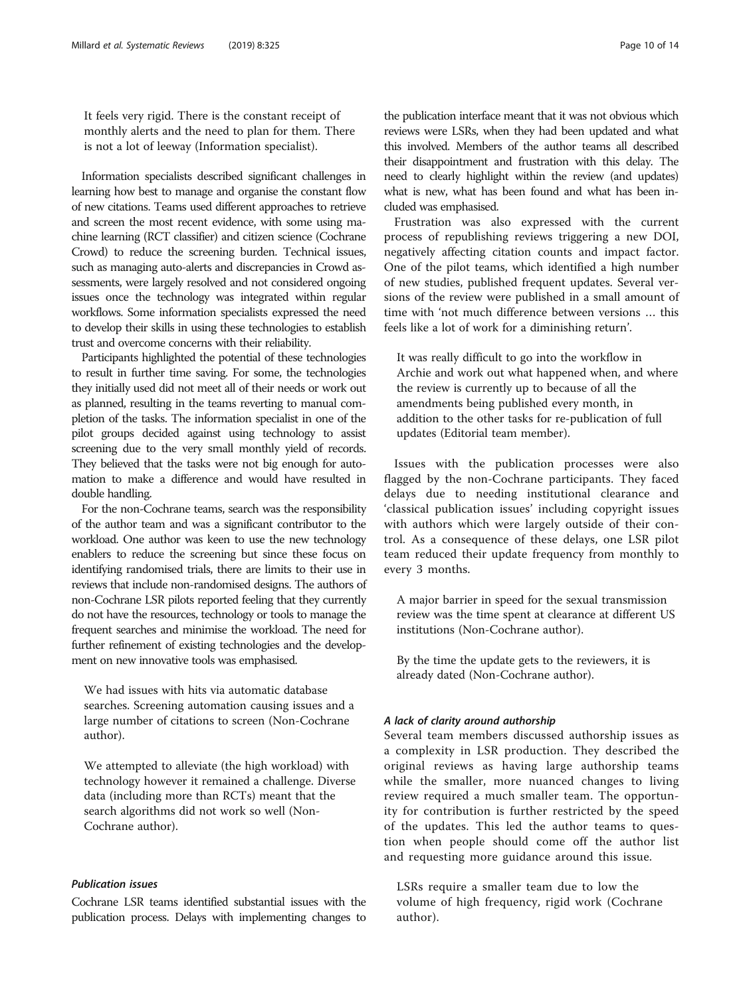It feels very rigid. There is the constant receipt of monthly alerts and the need to plan for them. There is not a lot of leeway (Information specialist).

Information specialists described significant challenges in learning how best to manage and organise the constant flow of new citations. Teams used different approaches to retrieve and screen the most recent evidence, with some using machine learning (RCT classifier) and citizen science (Cochrane Crowd) to reduce the screening burden. Technical issues, such as managing auto-alerts and discrepancies in Crowd assessments, were largely resolved and not considered ongoing issues once the technology was integrated within regular workflows. Some information specialists expressed the need to develop their skills in using these technologies to establish trust and overcome concerns with their reliability.

Participants highlighted the potential of these technologies to result in further time saving. For some, the technologies they initially used did not meet all of their needs or work out as planned, resulting in the teams reverting to manual completion of the tasks. The information specialist in one of the pilot groups decided against using technology to assist screening due to the very small monthly yield of records. They believed that the tasks were not big enough for automation to make a difference and would have resulted in double handling.

For the non-Cochrane teams, search was the responsibility of the author team and was a significant contributor to the workload. One author was keen to use the new technology enablers to reduce the screening but since these focus on identifying randomised trials, there are limits to their use in reviews that include non-randomised designs. The authors of non-Cochrane LSR pilots reported feeling that they currently do not have the resources, technology or tools to manage the frequent searches and minimise the workload. The need for further refinement of existing technologies and the development on new innovative tools was emphasised.

We had issues with hits via automatic database searches. Screening automation causing issues and a large number of citations to screen (Non-Cochrane author).

We attempted to alleviate (the high workload) with technology however it remained a challenge. Diverse data (including more than RCTs) meant that the search algorithms did not work so well (Non-Cochrane author).

# Publication issues

Cochrane LSR teams identified substantial issues with the publication process. Delays with implementing changes to

the publication interface meant that it was not obvious which reviews were LSRs, when they had been updated and what this involved. Members of the author teams all described their disappointment and frustration with this delay. The need to clearly highlight within the review (and updates) what is new, what has been found and what has been included was emphasised.

Frustration was also expressed with the current process of republishing reviews triggering a new DOI, negatively affecting citation counts and impact factor. One of the pilot teams, which identified a high number of new studies, published frequent updates. Several versions of the review were published in a small amount of time with 'not much difference between versions … this feels like a lot of work for a diminishing return'.

It was really difficult to go into the workflow in Archie and work out what happened when, and where the review is currently up to because of all the amendments being published every month, in addition to the other tasks for re-publication of full updates (Editorial team member).

Issues with the publication processes were also flagged by the non-Cochrane participants. They faced delays due to needing institutional clearance and 'classical publication issues' including copyright issues with authors which were largely outside of their control. As a consequence of these delays, one LSR pilot team reduced their update frequency from monthly to every 3 months.

A major barrier in speed for the sexual transmission review was the time spent at clearance at different US institutions (Non-Cochrane author).

By the time the update gets to the reviewers, it is already dated (Non-Cochrane author).

# A lack of clarity around authorship

Several team members discussed authorship issues as a complexity in LSR production. They described the original reviews as having large authorship teams while the smaller, more nuanced changes to living review required a much smaller team. The opportunity for contribution is further restricted by the speed of the updates. This led the author teams to question when people should come off the author list and requesting more guidance around this issue.

LSRs require a smaller team due to low the volume of high frequency, rigid work (Cochrane author).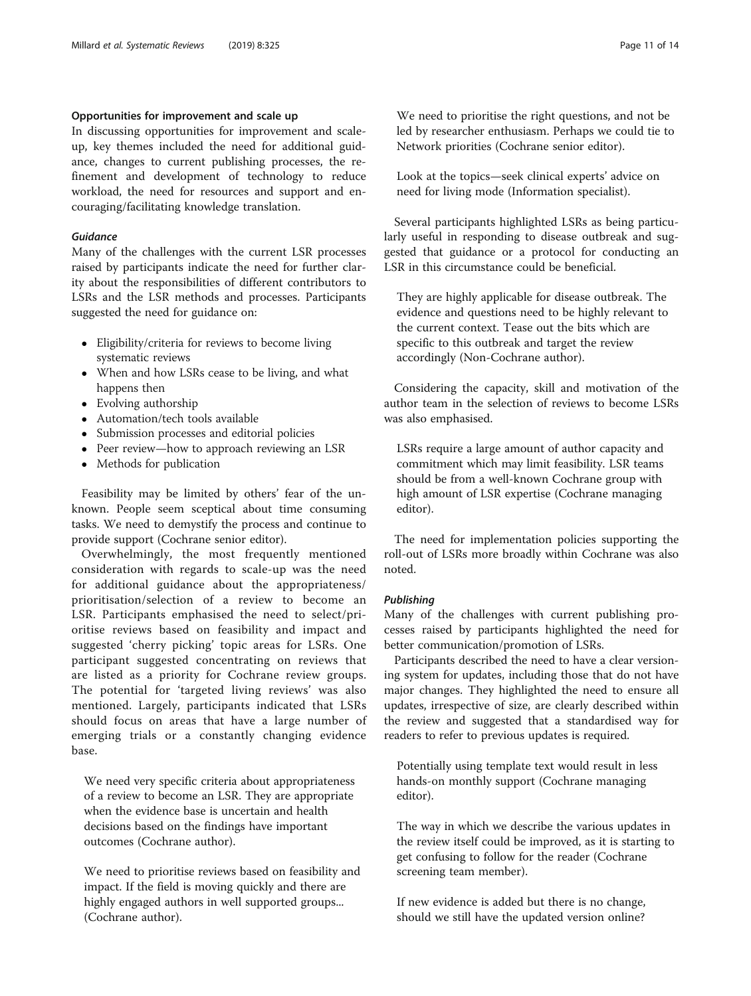# Opportunities for improvement and scale up

In discussing opportunities for improvement and scaleup, key themes included the need for additional guidance, changes to current publishing processes, the refinement and development of technology to reduce workload, the need for resources and support and encouraging/facilitating knowledge translation.

# Guidance

Many of the challenges with the current LSR processes raised by participants indicate the need for further clarity about the responsibilities of different contributors to LSRs and the LSR methods and processes. Participants suggested the need for guidance on:

- Eligibility/criteria for reviews to become living systematic reviews
- When and how LSRs cease to be living, and what happens then
- Evolving authorship
- Automation/tech tools available
- Submission processes and editorial policies
- Peer review—how to approach reviewing an LSR
- Methods for publication

Feasibility may be limited by others' fear of the unknown. People seem sceptical about time consuming tasks. We need to demystify the process and continue to provide support (Cochrane senior editor).

Overwhelmingly, the most frequently mentioned consideration with regards to scale-up was the need for additional guidance about the appropriateness/ prioritisation/selection of a review to become an LSR. Participants emphasised the need to select/prioritise reviews based on feasibility and impact and suggested 'cherry picking' topic areas for LSRs. One participant suggested concentrating on reviews that are listed as a priority for Cochrane review groups. The potential for 'targeted living reviews' was also mentioned. Largely, participants indicated that LSRs should focus on areas that have a large number of emerging trials or a constantly changing evidence base.

We need very specific criteria about appropriateness of a review to become an LSR. They are appropriate when the evidence base is uncertain and health decisions based on the findings have important outcomes (Cochrane author).

We need to prioritise reviews based on feasibility and impact. If the field is moving quickly and there are highly engaged authors in well supported groups... (Cochrane author).

We need to prioritise the right questions, and not be led by researcher enthusiasm. Perhaps we could tie to Network priorities (Cochrane senior editor).

Look at the topics—seek clinical experts' advice on need for living mode (Information specialist).

Several participants highlighted LSRs as being particularly useful in responding to disease outbreak and suggested that guidance or a protocol for conducting an LSR in this circumstance could be beneficial.

They are highly applicable for disease outbreak. The evidence and questions need to be highly relevant to the current context. Tease out the bits which are specific to this outbreak and target the review accordingly (Non-Cochrane author).

Considering the capacity, skill and motivation of the author team in the selection of reviews to become LSRs was also emphasised.

LSRs require a large amount of author capacity and commitment which may limit feasibility. LSR teams should be from a well-known Cochrane group with high amount of LSR expertise (Cochrane managing editor).

The need for implementation policies supporting the roll-out of LSRs more broadly within Cochrane was also noted.

# Publishing

Many of the challenges with current publishing processes raised by participants highlighted the need for better communication/promotion of LSRs.

Participants described the need to have a clear versioning system for updates, including those that do not have major changes. They highlighted the need to ensure all updates, irrespective of size, are clearly described within the review and suggested that a standardised way for readers to refer to previous updates is required.

Potentially using template text would result in less hands-on monthly support (Cochrane managing editor).

The way in which we describe the various updates in the review itself could be improved, as it is starting to get confusing to follow for the reader (Cochrane screening team member).

If new evidence is added but there is no change, should we still have the updated version online?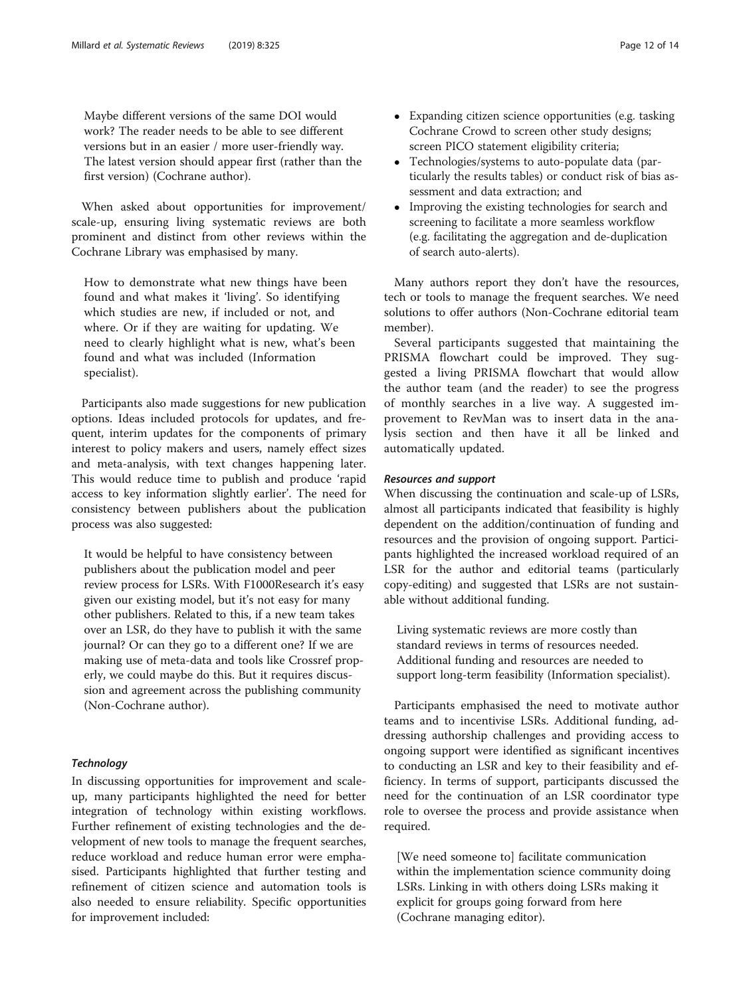Maybe different versions of the same DOI would work? The reader needs to be able to see different versions but in an easier / more user-friendly way. The latest version should appear first (rather than the first version) (Cochrane author).

When asked about opportunities for improvement/ scale-up, ensuring living systematic reviews are both prominent and distinct from other reviews within the Cochrane Library was emphasised by many.

How to demonstrate what new things have been found and what makes it 'living'. So identifying which studies are new, if included or not, and where. Or if they are waiting for updating. We need to clearly highlight what is new, what's been found and what was included (Information specialist).

Participants also made suggestions for new publication options. Ideas included protocols for updates, and frequent, interim updates for the components of primary interest to policy makers and users, namely effect sizes and meta-analysis, with text changes happening later. This would reduce time to publish and produce 'rapid access to key information slightly earlier'. The need for consistency between publishers about the publication process was also suggested:

It would be helpful to have consistency between publishers about the publication model and peer review process for LSRs. With F1000Research it's easy given our existing model, but it's not easy for many other publishers. Related to this, if a new team takes over an LSR, do they have to publish it with the same journal? Or can they go to a different one? If we are making use of meta-data and tools like Crossref properly, we could maybe do this. But it requires discussion and agreement across the publishing community (Non-Cochrane author).

# **Technology**

In discussing opportunities for improvement and scaleup, many participants highlighted the need for better integration of technology within existing workflows. Further refinement of existing technologies and the development of new tools to manage the frequent searches, reduce workload and reduce human error were emphasised. Participants highlighted that further testing and refinement of citizen science and automation tools is also needed to ensure reliability. Specific opportunities for improvement included:

- Expanding citizen science opportunities (e.g. tasking Cochrane Crowd to screen other study designs; screen PICO statement eligibility criteria;
- Technologies/systems to auto-populate data (particularly the results tables) or conduct risk of bias assessment and data extraction; and
- Improving the existing technologies for search and screening to facilitate a more seamless workflow (e.g. facilitating the aggregation and de-duplication of search auto-alerts).

Many authors report they don't have the resources, tech or tools to manage the frequent searches. We need solutions to offer authors (Non-Cochrane editorial team member).

Several participants suggested that maintaining the PRISMA flowchart could be improved. They suggested a living PRISMA flowchart that would allow the author team (and the reader) to see the progress of monthly searches in a live way. A suggested improvement to RevMan was to insert data in the analysis section and then have it all be linked and automatically updated.

# Resources and support

When discussing the continuation and scale-up of LSRs, almost all participants indicated that feasibility is highly dependent on the addition/continuation of funding and resources and the provision of ongoing support. Participants highlighted the increased workload required of an LSR for the author and editorial teams (particularly copy-editing) and suggested that LSRs are not sustainable without additional funding.

Living systematic reviews are more costly than standard reviews in terms of resources needed. Additional funding and resources are needed to support long-term feasibility (Information specialist).

Participants emphasised the need to motivate author teams and to incentivise LSRs. Additional funding, addressing authorship challenges and providing access to ongoing support were identified as significant incentives to conducting an LSR and key to their feasibility and efficiency. In terms of support, participants discussed the need for the continuation of an LSR coordinator type role to oversee the process and provide assistance when required.

[We need someone to] facilitate communication within the implementation science community doing LSRs. Linking in with others doing LSRs making it explicit for groups going forward from here (Cochrane managing editor).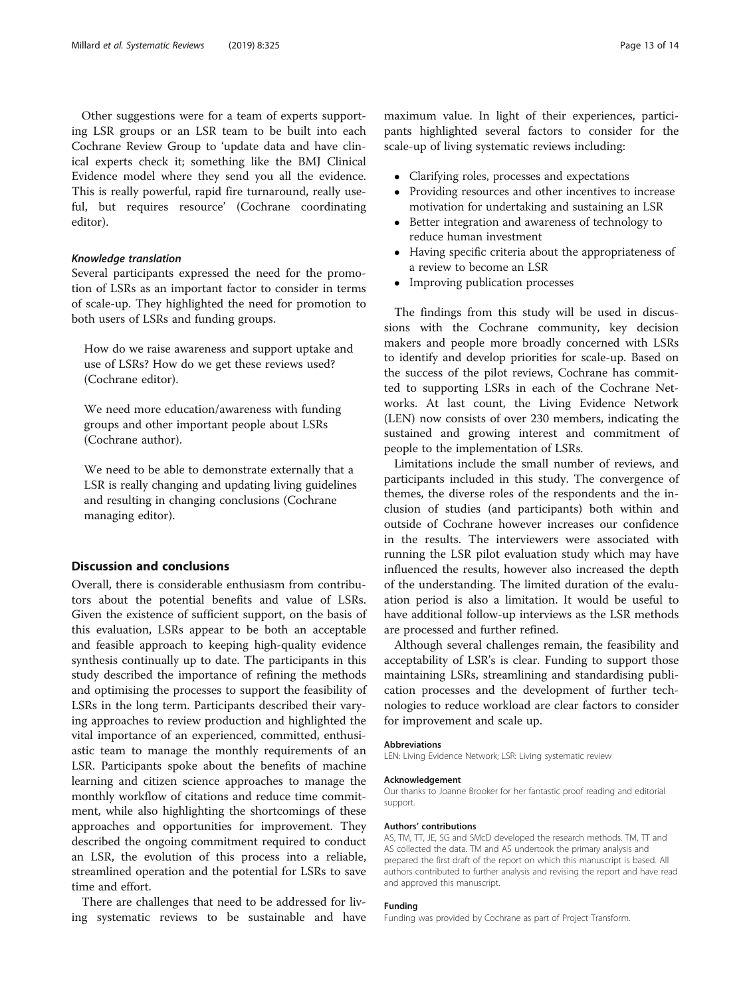Other suggestions were for a team of experts supporting LSR groups or an LSR team to be built into each Cochrane Review Group to 'update data and have clinical experts check it; something like the BMJ Clinical Evidence model where they send you all the evidence. This is really powerful, rapid fire turnaround, really useful, but requires resource' (Cochrane coordinating editor).

#### Knowledge translation

Several participants expressed the need for the promotion of LSRs as an important factor to consider in terms of scale-up. They highlighted the need for promotion to both users of LSRs and funding groups.

How do we raise awareness and support uptake and use of LSRs? How do we get these reviews used? (Cochrane editor).

We need more education/awareness with funding groups and other important people about LSRs (Cochrane author).

We need to be able to demonstrate externally that a LSR is really changing and updating living guidelines and resulting in changing conclusions (Cochrane managing editor).

# Discussion and conclusions

Overall, there is considerable enthusiasm from contributors about the potential benefits and value of LSRs. Given the existence of sufficient support, on the basis of this evaluation, LSRs appear to be both an acceptable and feasible approach to keeping high-quality evidence synthesis continually up to date. The participants in this study described the importance of refining the methods and optimising the processes to support the feasibility of LSRs in the long term. Participants described their varying approaches to review production and highlighted the vital importance of an experienced, committed, enthusiastic team to manage the monthly requirements of an LSR. Participants spoke about the benefits of machine learning and citizen science approaches to manage the monthly workflow of citations and reduce time commitment, while also highlighting the shortcomings of these approaches and opportunities for improvement. They described the ongoing commitment required to conduct an LSR, the evolution of this process into a reliable, streamlined operation and the potential for LSRs to save time and effort.

There are challenges that need to be addressed for living systematic reviews to be sustainable and have

maximum value. In light of their experiences, participants highlighted several factors to consider for the scale-up of living systematic reviews including:

- Clarifying roles, processes and expectations
- Providing resources and other incentives to increase motivation for undertaking and sustaining an LSR
- Better integration and awareness of technology to reduce human investment
- Having specific criteria about the appropriateness of a review to become an LSR
- Improving publication processes

The findings from this study will be used in discussions with the Cochrane community, key decision makers and people more broadly concerned with LSRs to identify and develop priorities for scale-up. Based on the success of the pilot reviews, Cochrane has committed to supporting LSRs in each of the Cochrane Networks. At last count, the Living Evidence Network (LEN) now consists of over 230 members, indicating the sustained and growing interest and commitment of people to the implementation of LSRs.

Limitations include the small number of reviews, and participants included in this study. The convergence of themes, the diverse roles of the respondents and the inclusion of studies (and participants) both within and outside of Cochrane however increases our confidence in the results. The interviewers were associated with running the LSR pilot evaluation study which may have influenced the results, however also increased the depth of the understanding. The limited duration of the evaluation period is also a limitation. It would be useful to have additional follow-up interviews as the LSR methods are processed and further refined.

Although several challenges remain, the feasibility and acceptability of LSR's is clear. Funding to support those maintaining LSRs, streamlining and standardising publication processes and the development of further technologies to reduce workload are clear factors to consider for improvement and scale up.

#### Abbreviations

LEN: Living Evidence Network; LSR: Living systematic review

#### Acknowledgement

Our thanks to Joanne Brooker for her fantastic proof reading and editorial support.

#### Authors' contributions

AS, TM, TT, JE, SG and SMcD developed the research methods. TM, TT and AS collected the data. TM and AS undertook the primary analysis and prepared the first draft of the report on which this manuscript is based. All authors contributed to further analysis and revising the report and have read and approved this manuscript.

## Funding

Funding was provided by Cochrane as part of Project Transform.